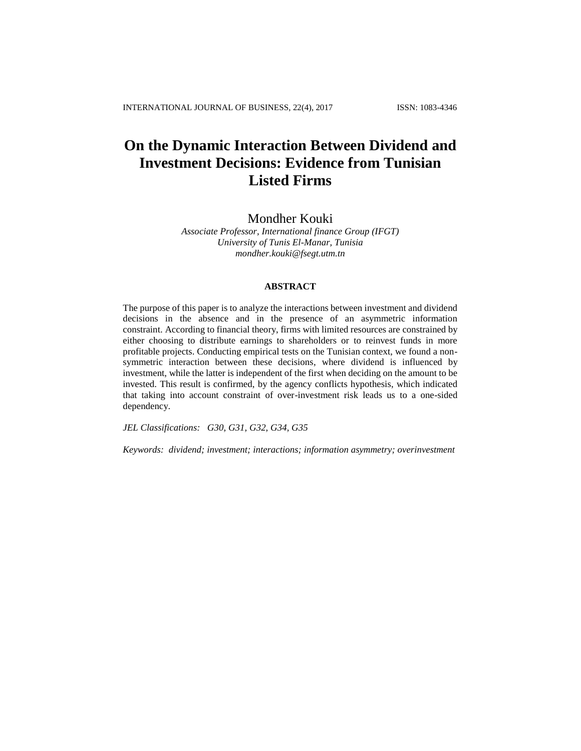# **On the Dynamic Interaction Between Dividend and Investment Decisions: Evidence from Tunisian Listed Firms**

# Mondher Kouki

*Associate Professor, International finance Group (IFGT) University of Tunis El-Manar, Tunisia mondher.kouki@fsegt.utm.tn*

# **ABSTRACT**

The purpose of this paper is to analyze the interactions between investment and dividend decisions in the absence and in the presence of an asymmetric information constraint. According to financial theory, firms with limited resources are constrained by either choosing to distribute earnings to shareholders or to reinvest funds in more profitable projects. Conducting empirical tests on the Tunisian context, we found a nonsymmetric interaction between these decisions, where dividend is influenced by investment, while the latter is independent of the first when deciding on the amount to be invested. This result is confirmed, by the agency conflicts hypothesis, which indicated that taking into account constraint of over-investment risk leads us to a one-sided dependency.

*JEL Classifications: G30, G31, G32, G34, G35*

*Keywords: dividend; investment; interactions; information asymmetry; overinvestment*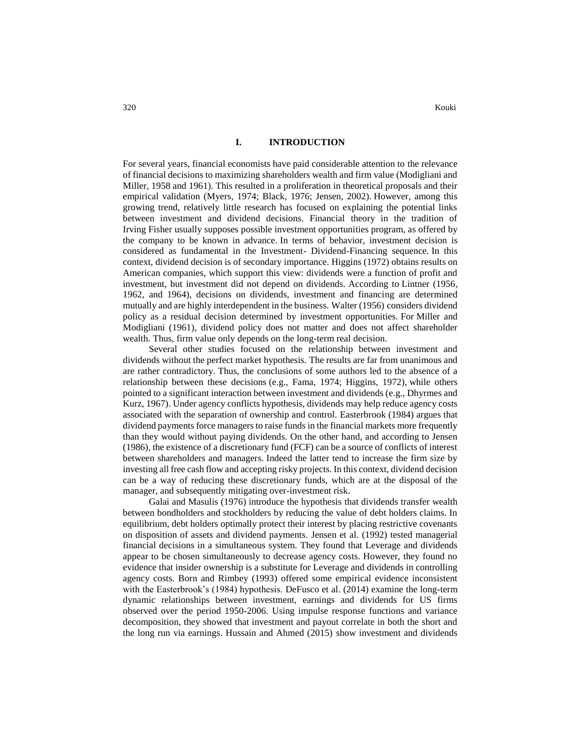#### **I. INTRODUCTION**

For several years, financial economists have paid considerable attention to the relevance of financial decisions to maximizing shareholders wealth and firm value (Modigliani and Miller, 1958 and 1961). This resulted in a proliferation in theoretical proposals and their empirical validation (Myers, 1974; Black, 1976; Jensen, 2002). However, among this growing trend, relatively little research has focused on explaining the potential links between investment and dividend decisions. Financial theory in the tradition of Irving Fisher usually supposes possible investment opportunities program, as offered by the company to be known in advance. In terms of behavior, investment decision is considered as fundamental in the Investment- Dividend-Financing sequence. In this context, dividend decision is of secondary importance. Higgins (1972) obtains results on American companies, which support this view: dividends were a function of profit and investment, but investment did not depend on dividends. According to Lintner (1956, 1962, and 1964), decisions on dividends, investment and financing are determined mutually and are highly interdependent in the business. Walter (1956) considers dividend policy as a residual decision determined by investment opportunities. For Miller and Modigliani (1961), dividend policy does not matter and does not affect shareholder wealth. Thus, firm value only depends on the long-term real decision.

Several other studies focused on the relationship between investment and dividends without the perfect market hypothesis. The results are far from unanimous and are rather contradictory. Thus, the conclusions of some authors led to the absence of a relationship between these decisions (e.g., Fama, 1974; Higgins, 1972), while others pointed to a significant interaction between investment and dividends (e.g., Dhyrmes and Kurz, 1967). Under agency conflicts hypothesis, dividends may help reduce agency costs associated with the separation of ownership and control. Easterbrook (1984) argues that dividend payments force managers to raise funds in the financial markets more frequently than they would without paying dividends. On the other hand, and according to Jensen (1986), the existence of a discretionary fund (FCF) can be a source of conflicts of interest between shareholders and managers. Indeed the latter tend to increase the firm size by investing all free cash flow and accepting risky projects. In this context, dividend decision can be a way of reducing these discretionary funds, which are at the disposal of the manager, and subsequently mitigating over-investment risk.

Galai and Masulis (1976) introduce the hypothesis that dividends transfer wealth between bondholders and stockholders by reducing the value of debt holders claims. In equilibrium, debt holders optimally protect their interest by placing restrictive covenants on disposition of assets and dividend payments. Jensen et al. (1992) tested managerial financial decisions in a simultaneous system. They found that Leverage and dividends appear to be chosen simultaneously to decrease agency costs. However, they found no evidence that insider ownership is a substitute for Leverage and dividends in controlling agency costs. Born and Rimbey (1993) offered some empirical evidence inconsistent with the Easterbrook's (1984) hypothesis. DeFusco et al. (2014) examine the long-term dynamic relationships between investment, earnings and dividends for US firms observed over the period 1950-2006. Using impulse response functions and variance decomposition, they showed that investment and payout correlate in both the short and the long run via earnings. Hussain and Ahmed (2015) show investment and dividends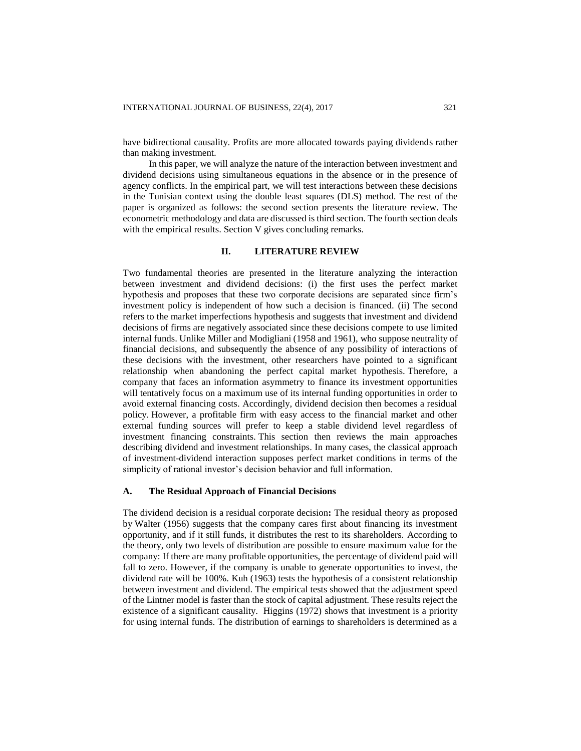have bidirectional causality. Profits are more allocated towards paying dividends rather than making investment.

In this paper, we will analyze the nature of the interaction between investment and dividend decisions using simultaneous equations in the absence or in the presence of agency conflicts. In the empirical part, we will test interactions between these decisions in the Tunisian context using the double least squares (DLS) method. The rest of the paper is organized as follows: the second section presents the literature review. The econometric methodology and data are discussed is third section. The fourth section deals with the empirical results. Section V gives concluding remarks.

## **II. LITERATURE REVIEW**

Two fundamental theories are presented in the literature analyzing the interaction between investment and dividend decisions: (i) the first uses the perfect market hypothesis and proposes that these two corporate decisions are separated since firm's investment policy is independent of how such a decision is financed. (ii) The second refers to the market imperfections hypothesis and suggests that investment and dividend decisions of firms are negatively associated since these decisions compete to use limited internal funds. Unlike Miller and Modigliani (1958 and 1961), who suppose neutrality of financial decisions, and subsequently the absence of any possibility of interactions of these decisions with the investment, other researchers have pointed to a significant relationship when abandoning the perfect capital market hypothesis. Therefore, a company that faces an information asymmetry to finance its investment opportunities will tentatively focus on a maximum use of its internal funding opportunities in order to avoid external financing costs. Accordingly, dividend decision then becomes a residual policy. However, a profitable firm with easy access to the financial market and other external funding sources will prefer to keep a stable dividend level regardless of investment financing constraints. This section then reviews the main approaches describing dividend and investment relationships. In many cases, the classical approach of investment-dividend interaction supposes perfect market conditions in terms of the simplicity of rational investor's decision behavior and full information.

#### **A. The Residual Approach of Financial Decisions**

The dividend decision is a residual corporate decision**:** The residual theory as proposed by Walter (1956) suggests that the company cares first about financing its investment opportunity, and if it still funds, it distributes the rest to its shareholders. According to the theory, only two levels of distribution are possible to ensure maximum value for the company: If there are many profitable opportunities, the percentage of dividend paid will fall to zero. However, if the company is unable to generate opportunities to invest, the dividend rate will be 100%. Kuh (1963) tests the hypothesis of a consistent relationship between investment and dividend. The empirical tests showed that the adjustment speed of the Lintner model is faster than the stock of capital adjustment. These results reject the existence of a significant causality. Higgins (1972) shows that investment is a priority for using internal funds. The distribution of earnings to shareholders is determined as a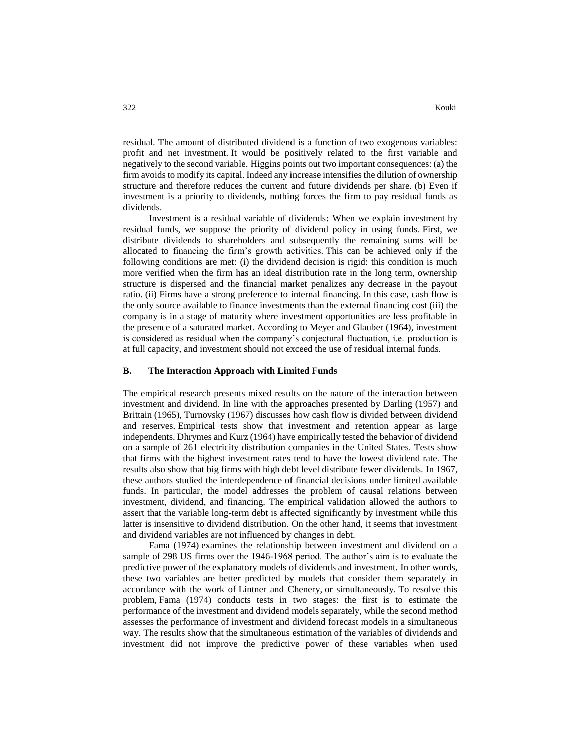residual. The amount of distributed dividend is a function of two exogenous variables: profit and net investment. It would be positively related to the first variable and negatively to the second variable. Higgins points out two important consequences: (a) the firm avoids to modify its capital. Indeed any increase intensifies the dilution of ownership structure and therefore reduces the current and future dividends per share. (b) Even if investment is a priority to dividends, nothing forces the firm to pay residual funds as dividends.

Investment is a residual variable of dividends**:** When we explain investment by residual funds, we suppose the priority of dividend policy in using funds. First, we distribute dividends to shareholders and subsequently the remaining sums will be allocated to financing the firm's growth activities. This can be achieved only if the following conditions are met: (i) the dividend decision is rigid: this condition is much more verified when the firm has an ideal distribution rate in the long term, ownership structure is dispersed and the financial market penalizes any decrease in the payout ratio. (ii) Firms have a strong preference to internal financing. In this case, cash flow is the only source available to finance investments than the external financing cost (iii) the company is in a stage of maturity where investment opportunities are less profitable in the presence of a saturated market. According to Meyer and Glauber (1964), investment is considered as residual when the company's conjectural fluctuation, i.e. production is at full capacity, and investment should not exceed the use of residual internal funds.

#### **B. The Interaction Approach with Limited Funds**

The empirical research presents mixed results on the nature of the interaction between investment and dividend. In line with the approaches presented by Darling (1957) and Brittain (1965), Turnovsky (1967) discusses how cash flow is divided between dividend and reserves. Empirical tests show that investment and retention appear as large independents. Dhrymes and Kurz (1964) have empirically tested the behavior of dividend on a sample of 261 electricity distribution companies in the United States. Tests show that firms with the highest investment rates tend to have the lowest dividend rate. The results also show that big firms with high debt level distribute fewer dividends. In 1967, these authors studied the interdependence of financial decisions under limited available funds. In particular, the model addresses the problem of causal relations between investment, dividend, and financing. The empirical validation allowed the authors to assert that the variable long-term debt is affected significantly by investment while this latter is insensitive to dividend distribution. On the other hand, it seems that investment and dividend variables are not influenced by changes in debt.

Fama (1974) examines the relationship between investment and dividend on a sample of 298 US firms over the 1946-1968 period. The author's aim is to evaluate the predictive power of the explanatory models of dividends and investment. In other words, these two variables are better predicted by models that consider them separately in accordance with the work of Lintner and Chenery, or simultaneously. To resolve this problem, Fama (1974) conducts tests in two stages: the first is to estimate the performance of the investment and dividend models separately, while the second method assesses the performance of investment and dividend forecast models in a simultaneous way. The results show that the simultaneous estimation of the variables of dividends and investment did not improve the predictive power of these variables when used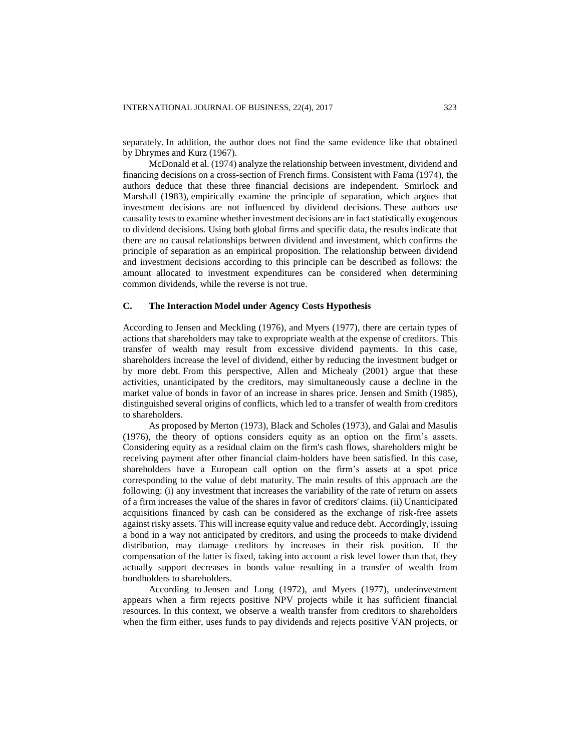separately. In addition, the author does not find the same evidence like that obtained by Dhrymes and Kurz (1967).

McDonald et al. (1974) analyze the relationship between investment, dividend and financing decisions on a cross-section of French firms. Consistent with Fama (1974), the authors deduce that these three financial decisions are independent. Smirlock and Marshall (1983), empirically examine the principle of separation, which argues that investment decisions are not influenced by dividend decisions. These authors use causality tests to examine whether investment decisions are in fact statistically exogenous to dividend decisions. Using both global firms and specific data, the results indicate that there are no causal relationships between dividend and investment, which confirms the principle of separation as an empirical proposition. The relationship between dividend and investment decisions according to this principle can be described as follows: the amount allocated to investment expenditures can be considered when determining common dividends, while the reverse is not true.

#### **C. The Interaction Model under Agency Costs Hypothesis**

According to Jensen and Meckling (1976), and Myers (1977), there are certain types of actions that shareholders may take to expropriate wealth at the expense of creditors. This transfer of wealth may result from excessive dividend payments. In this case, shareholders increase the level of dividend, either by reducing the investment budget or by more debt. From this perspective, Allen and Michealy (2001) argue that these activities, unanticipated by the creditors, may simultaneously cause a decline in the market value of bonds in favor of an increase in shares price. Jensen and Smith (1985), distinguished several origins of conflicts, which led to a transfer of wealth from creditors to shareholders.

As proposed by Merton (1973), Black and Scholes (1973), and Galai and Masulis (1976), the theory of options considers equity as an option on the firm's assets. Considering equity as a residual claim on the firm's cash flows, shareholders might be receiving payment after other financial claim-holders have been satisfied. In this case, shareholders have a European call option on the firm's assets at a spot price corresponding to the value of debt maturity. The main results of this approach are the following: (i) any investment that increases the variability of the rate of return on assets of a firm increases the value of the shares in favor of creditors' claims. (ii) Unanticipated acquisitions financed by cash can be considered as the exchange of risk-free assets against risky assets. This will increase equity value and reduce debt. Accordingly, issuing a bond in a way not anticipated by creditors, and using the proceeds to make dividend distribution, may damage creditors by increases in their risk position. If the compensation of the latter is fixed, taking into account a risk level lower than that, they actually support decreases in bonds value resulting in a transfer of wealth from bondholders to shareholders.

According to Jensen and Long (1972), and Myers (1977), underinvestment appears when a firm rejects positive NPV projects while it has sufficient financial resources. In this context, we observe a wealth transfer from creditors to shareholders when the firm either, uses funds to pay dividends and rejects positive VAN projects, or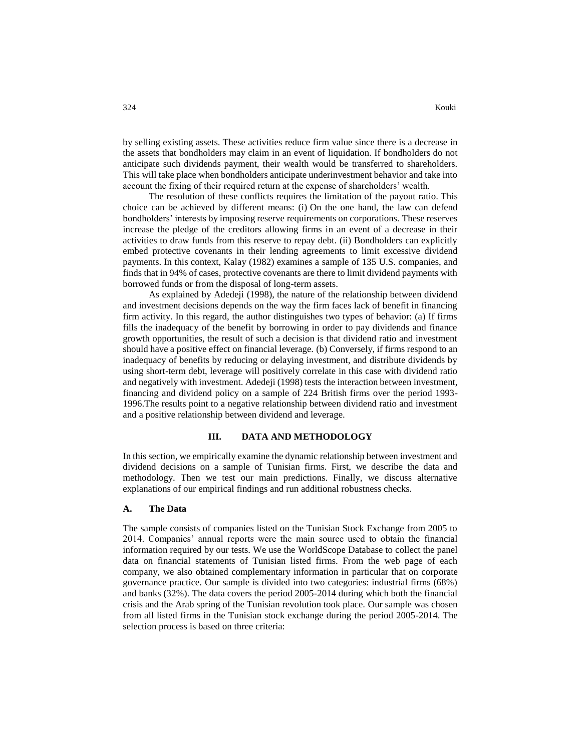by selling existing assets. These activities reduce firm value since there is a decrease in the assets that bondholders may claim in an event of liquidation. If bondholders do not anticipate such dividends payment, their wealth would be transferred to shareholders. This will take place when bondholders anticipate underinvestment behavior and take into account the fixing of their required return at the expense of shareholders' wealth.

The resolution of these conflicts requires the limitation of the payout ratio. This choice can be achieved by different means: (i) On the one hand, the law can defend bondholders' interests by imposing reserve requirements on corporations. These reserves increase the pledge of the creditors allowing firms in an event of a decrease in their activities to draw funds from this reserve to repay debt. (ii) Bondholders can explicitly embed protective covenants in their lending agreements to limit excessive dividend payments. In this context, Kalay (1982) examines a sample of 135 U.S. companies, and finds that in 94% of cases, protective covenants are there to limit dividend payments with borrowed funds or from the disposal of long-term assets.

As explained by Adedeji (1998), the nature of the relationship between dividend and investment decisions depends on the way the firm faces lack of benefit in financing firm activity. In this regard, the author distinguishes two types of behavior: (a) If firms fills the inadequacy of the benefit by borrowing in order to pay dividends and finance growth opportunities, the result of such a decision is that dividend ratio and investment should have a positive effect on financial leverage. (b) Conversely, if firms respond to an inadequacy of benefits by reducing or delaying investment, and distribute dividends by using short-term debt, leverage will positively correlate in this case with dividend ratio and negatively with investment. Adedeji (1998) tests the interaction between investment, financing and dividend policy on a sample of 224 British firms over the period 1993- 1996.The results point to a negative relationship between dividend ratio and investment and a positive relationship between dividend and leverage.

#### **III. DATA AND METHODOLOGY**

In this section, we empirically examine the dynamic relationship between investment and dividend decisions on a sample of Tunisian firms. First, we describe the data and methodology. Then we test our main predictions. Finally, we discuss alternative explanations of our empirical findings and run additional robustness checks.

#### **A. The Data**

The sample consists of companies listed on the Tunisian Stock Exchange from 2005 to 2014. Companies' annual reports were the main source used to obtain the financial information required by our tests. We use the WorldScope Database to collect the panel data on financial statements of Tunisian listed firms. From the web page of each company, we also obtained complementary information in particular that on corporate governance practice. Our sample is divided into two categories: industrial firms (68%) and banks (32%). The data covers the period 2005-2014 during which both the financial crisis and the Arab spring of the Tunisian revolution took place. Our sample was chosen from all listed firms in the Tunisian stock exchange during the period 2005-2014. The selection process is based on three criteria: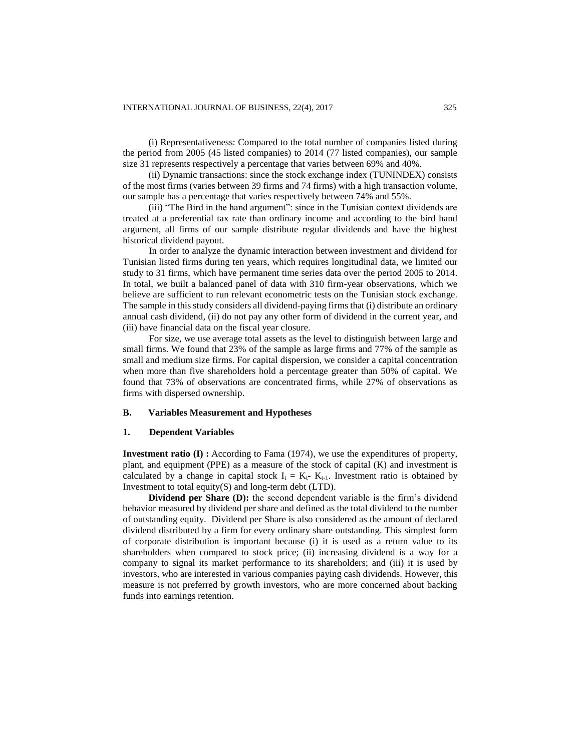(i) Representativeness: Compared to the total number of companies listed during the period from 2005 (45 listed companies) to 2014 (77 listed companies), our sample size 31 represents respectively a percentage that varies between 69% and 40%.

(ii) Dynamic transactions: since the stock exchange index (TUNINDEX) consists of the most firms (varies between 39 firms and 74 firms) with a high transaction volume, our sample has a percentage that varies respectively between 74% and 55%.

(iii) "The Bird in the hand argument": since in the Tunisian context dividends are treated at a preferential tax rate than ordinary income and according to the bird hand argument, all firms of our sample distribute regular dividends and have the highest historical dividend payout.

In order to analyze the dynamic interaction between investment and dividend for Tunisian listed firms during ten years, which requires longitudinal data, we limited our study to 31 firms, which have permanent time series data over the period 2005 to 2014. In total, we built a balanced panel of data with 310 firm-year observations, which we believe are sufficient to run relevant econometric tests on the Tunisian stock exchange. The sample in this study considers all dividend-paying firms that (i) distribute an ordinary annual cash dividend, (ii) do not pay any other form of dividend in the current year, and (iii) have financial data on the fiscal year closure.

For size, we use average total assets as the level to distinguish between large and small firms. We found that 23% of the sample as large firms and 77% of the sample as small and medium size firms. For capital dispersion, we consider a capital concentration when more than five shareholders hold a percentage greater than 50% of capital. We found that 73% of observations are concentrated firms, while 27% of observations as firms with dispersed ownership.

#### **B. Variables Measurement and Hypotheses**

### **1. Dependent Variables**

**Investment ratio (I) :** According to Fama (1974), we use the expenditures of property, plant, and equipment (PPE) as a measure of the stock of capital (K) and investment is calculated by a change in capital stock  $I_t = K_{t-1}$ . Investment ratio is obtained by Investment to total equity $(S)$  and long-term debt (LTD).

**Dividend per Share (D):** the second dependent variable is the firm's dividend behavior measured by dividend per share and defined as the total dividend to the number of outstanding equity. Dividend per Share is also considered as the amount of declared dividend distributed by a firm for every ordinary share outstanding. This simplest form of corporate distribution is important because (i) it is used as a return value to its shareholders when compared to stock price; (ii) increasing dividend is a way for a company to signal its market performance to its shareholders; and (iii) it is used by investors, who are interested in various companies paying cash dividends. However, this measure is not preferred by growth investors, who are more concerned about backing funds into earnings retention.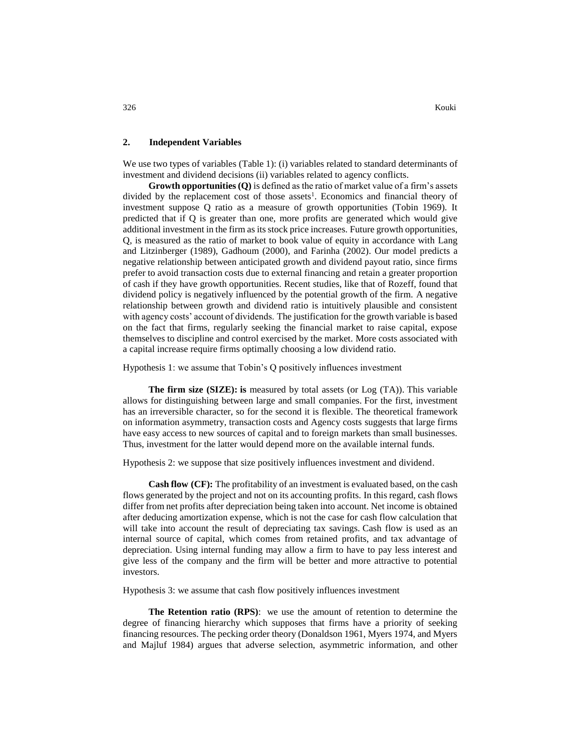#### **2. Independent Variables**

We use two types of variables (Table 1): (i) variables related to standard determinants of investment and dividend decisions (ii) variables related to agency conflicts.

**Growth opportunities (Q)** is defined as the ratio of market value of a firm's assets divided by the replacement cost of those assets<sup>1</sup>. Economics and financial theory of investment suppose Q ratio as a measure of growth opportunities (Tobin 1969). It predicted that if Q is greater than one, more profits are generated which would give additional investment in the firm as its stock price increases. Future growth opportunities, Q, is measured as the ratio of market to book value of equity in accordance with Lang and Litzinberger (1989), Gadhoum (2000), and Farinha (2002). Our model predicts a negative relationship between anticipated growth and dividend payout ratio, since firms prefer to avoid transaction costs due to external financing and retain a greater proportion of cash if they have growth opportunities. Recent studies, like that of Rozeff, found that dividend policy is negatively influenced by the potential growth of the firm. A negative relationship between growth and dividend ratio is intuitively plausible and consistent with agency costs' account of dividends. The justification for the growth variable is based on the fact that firms, regularly seeking the financial market to raise capital, expose themselves to discipline and control exercised by the market. More costs associated with a capital increase require firms optimally choosing a low dividend ratio.

Hypothesis 1: we assume that Tobin's Q positively influences investment

**The firm size (SIZE): is** measured by total assets (or Log (TA)). This variable allows for distinguishing between large and small companies. For the first, investment has an irreversible character, so for the second it is flexible. The theoretical framework on information asymmetry, transaction costs and Agency costs suggests that large firms have easy access to new sources of capital and to foreign markets than small businesses. Thus, investment for the latter would depend more on the available internal funds.

Hypothesis 2: we suppose that size positively influences investment and dividend.

**Cash flow (CF):** The profitability of an investment is evaluated based, on the cash flows generated by the project and not on its accounting profits. In this regard, cash flows differ from net profits after depreciation being taken into account. Net income is obtained after deducing amortization expense, which is not the case for cash flow calculation that will take into account the result of depreciating tax savings. Cash flow is used as an internal source of capital, which comes from retained profits, and tax advantage of depreciation. Using internal funding may allow a firm to have to pay less interest and give less of the company and the firm will be better and more attractive to potential investors.

Hypothesis 3: we assume that cash flow positively influences investment

**The Retention ratio (RPS)**: we use the amount of retention to determine the degree of financing hierarchy which supposes that firms have a priority of seeking financing resources. The pecking order theory (Donaldson 1961, Myers 1974, and Myers and Majluf 1984) argues that adverse selection, asymmetric information, and other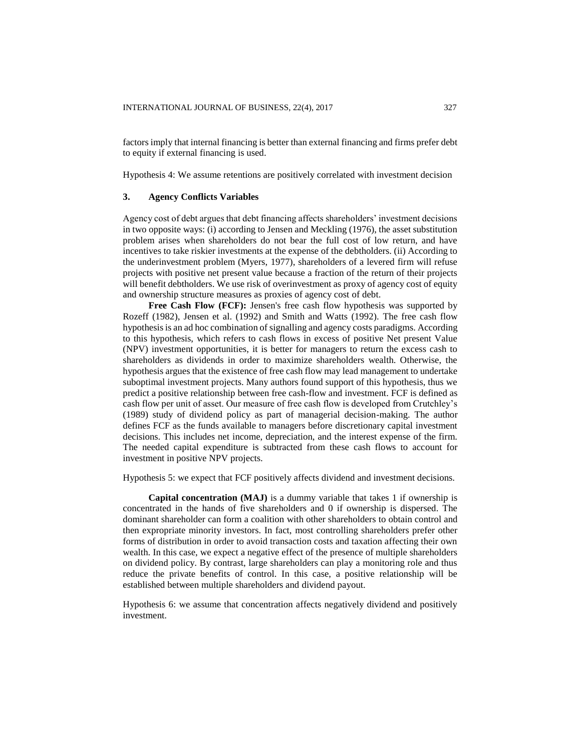factors imply that internal financing is better than external financing and firms prefer debt to equity if external financing is used.

Hypothesis 4: We assume retentions are positively correlated with investment decision

#### **3. Agency Conflicts Variables**

Agency cost of debt argues that debt financing affects shareholders' investment decisions in two opposite ways: (i) according to Jensen and Meckling (1976), the asset substitution problem arises when shareholders do not bear the full cost of low return, and have incentives to take riskier investments at the expense of the debtholders. (ii) According to the underinvestment problem (Myers, 1977), shareholders of a levered firm will refuse projects with positive net present value because a fraction of the return of their projects will benefit debtholders. We use risk of overinvestment as proxy of agency cost of equity and ownership structure measures as proxies of agency cost of debt.

**Free Cash Flow (FCF):** Jensen's free cash flow hypothesis was supported by Rozeff (1982), Jensen et al. (1992) and Smith and Watts (1992). The free cash flow hypothesis is an ad hoc combination of signalling and agency costs paradigms. According to this hypothesis, which refers to cash flows in excess of positive Net present Value (NPV) investment opportunities, it is better for managers to return the excess cash to shareholders as dividends in order to maximize shareholders wealth. Otherwise, the hypothesis argues that the existence of free cash flow may lead management to undertake suboptimal investment projects. Many authors found support of this hypothesis, thus we predict a positive relationship between free cash-flow and investment. FCF is defined as cash flow per unit of asset. Our measure of free cash flow is developed from Crutchley's (1989) study of dividend policy as part of managerial decision-making. The author defines FCF as the funds available to managers before discretionary capital investment decisions. This includes net income, depreciation, and the interest expense of the firm. The needed capital expenditure is subtracted from these cash flows to account for investment in positive NPV projects.

Hypothesis 5: we expect that FCF positively affects dividend and investment decisions.

**Capital concentration (MAJ)** is a dummy variable that takes 1 if ownership is concentrated in the hands of five shareholders and 0 if ownership is dispersed. The dominant shareholder can form a coalition with other shareholders to obtain control and then expropriate minority investors. In fact, most controlling shareholders prefer other forms of distribution in order to avoid transaction costs and taxation affecting their own wealth. In this case, we expect a negative effect of the presence of multiple shareholders on dividend policy. By contrast, large shareholders can play a monitoring role and thus reduce the private benefits of control. In this case, a positive relationship will be established between multiple shareholders and dividend payout.

Hypothesis 6: we assume that concentration affects negatively dividend and positively investment.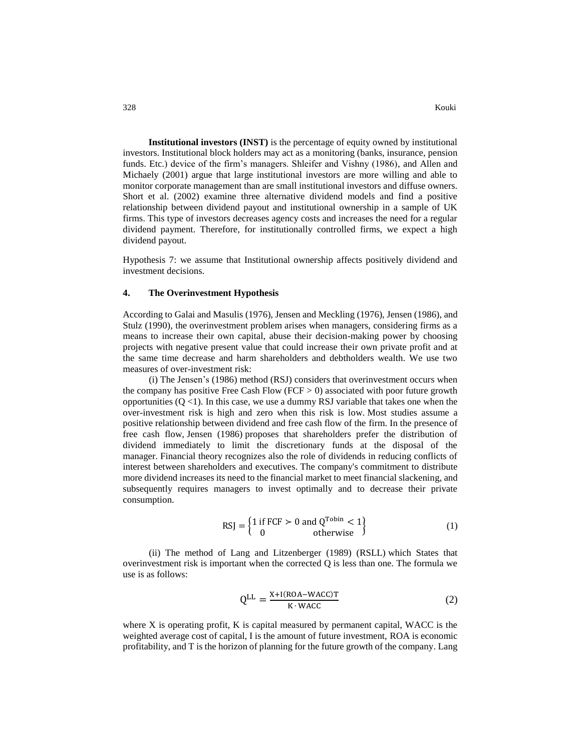**Institutional investors (INST)** is the percentage of equity owned by institutional investors. Institutional block holders may act as a monitoring (banks, insurance, pension funds. Etc.) device of the firm's managers. Shleifer and Vishny (1986), and Allen and Michaely (2001) argue that large institutional investors are more willing and able to monitor corporate management than are small institutional investors and diffuse owners. Short et al. (2002) examine three alternative dividend models and find a positive relationship between dividend payout and institutional ownership in a sample of UK firms. This type of investors decreases agency costs and increases the need for a regular dividend payment. Therefore, for institutionally controlled firms, we expect a high dividend payout.

Hypothesis 7: we assume that Institutional ownership affects positively dividend and investment decisions.

#### **4. The Overinvestment Hypothesis**

According to Galai and Masulis (1976), Jensen and Meckling (1976), Jensen (1986), and Stulz (1990), the overinvestment problem arises when managers, considering firms as a means to increase their own capital, abuse their decision-making power by choosing projects with negative present value that could increase their own private profit and at the same time decrease and harm shareholders and debtholders wealth. We use two measures of over-investment risk:

(i) The Jensen's (1986) method (RSJ) considers that overinvestment occurs when the company has positive Free Cash Flow (FCF  $> 0$ ) associated with poor future growth opportunities  $(Q \le 1)$ . In this case, we use a dummy RSJ variable that takes one when the over-investment risk is high and zero when this risk is low. Most studies assume a positive relationship between dividend and free cash flow of the firm. In the presence of free cash flow, Jensen (1986) proposes that shareholders prefer the distribution of dividend immediately to limit the discretionary funds at the disposal of the manager. Financial theory recognizes also the role of dividends in reducing conflicts of interest between shareholders and executives. The company's commitment to distribute more dividend increases its need to the financial market to meet financial slackening, and subsequently requires managers to invest optimally and to decrease their private consumption.

$$
RSJ = \begin{cases} 1 \text{ if } FCF > 0 \text{ and } Q^{\text{Tobin}} < 1 \\ 0 \text{ otherwise} \end{cases}
$$
 (1)

(ii) The method of Lang and Litzenberger (1989) (RSLL) which States that overinvestment risk is important when the corrected Q is less than one. The formula we use is as follows:

$$
Q^{LL} = \frac{X + I(ROA - WACC)T}{K \cdot WACC}
$$
 (2)

where X is operating profit, K is capital measured by permanent capital, WACC is the weighted average cost of capital, I is the amount of future investment, ROA is economic profitability, and T is the horizon of planning for the future growth of the company. Lang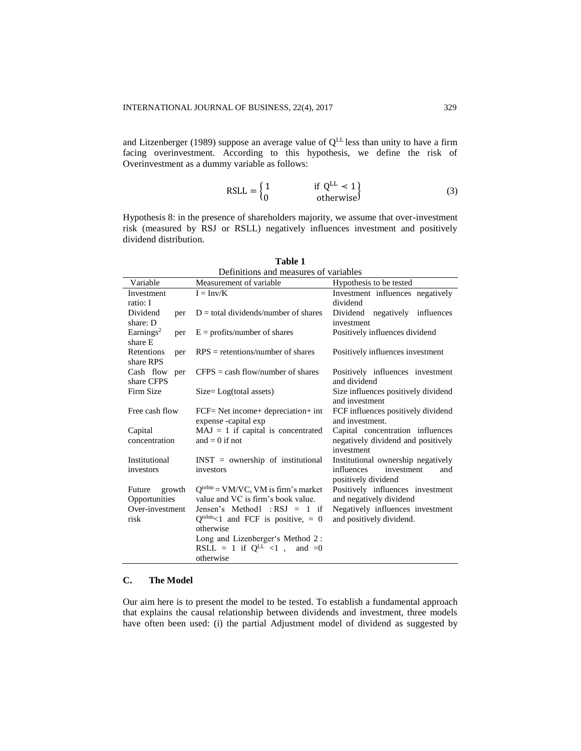and Litzenberger (1989) suppose an average value of  $Q^{LL}$  less than unity to have a firm facing overinvestment. According to this hypothesis, we define the risk of Overinvestment as a dummy variable as follows:

$$
RSLL = \begin{cases} 1 & \text{if } Q^{LL} < 1 \\ 0 & \text{otherwise} \end{cases} \tag{3}
$$

Hypothesis 8: in the presence of shareholders majority, we assume that over-investment risk (measured by RSJ or RSLL) negatively influences investment and positively dividend distribution.

| Definitions and measures of variables |                                          |                                     |  |  |  |  |  |  |
|---------------------------------------|------------------------------------------|-------------------------------------|--|--|--|--|--|--|
| Variable                              | Measurement of variable                  | Hypothesis to be tested             |  |  |  |  |  |  |
| Investment                            | $I = Inv/K$                              | Investment influences negatively    |  |  |  |  |  |  |
| ratio: I                              |                                          | dividend                            |  |  |  |  |  |  |
| Dividend<br>per                       | $D =$ total dividends/number of shares   | Dividend negatively influences      |  |  |  |  |  |  |
| share: D                              |                                          | investment                          |  |  |  |  |  |  |
| Earnings <sup>2</sup><br>per          | $E =$ profits/number of shares           | Positively influences dividend      |  |  |  |  |  |  |
| share E                               |                                          |                                     |  |  |  |  |  |  |
| Retentions<br>per                     | $RPS = retentions/number of shares$      | Positively influences investment    |  |  |  |  |  |  |
| share RPS                             |                                          |                                     |  |  |  |  |  |  |
| Cash flow<br>per                      | $CFPS = cash flow/number of shares$      | Positively influences investment    |  |  |  |  |  |  |
| share CFPS                            |                                          | and dividend                        |  |  |  |  |  |  |
| Firm Size                             | $Size = Log(total assets)$               | Size influences positively dividend |  |  |  |  |  |  |
|                                       |                                          | and investment                      |  |  |  |  |  |  |
| Free cash flow                        | FCF= Net income+ depreciation+ int       | FCF influences positively dividend  |  |  |  |  |  |  |
|                                       | expense -capital exp                     | and investment.                     |  |  |  |  |  |  |
| Capital                               | $MAJ = 1$ if capital is concentrated     | Capital concentration influences    |  |  |  |  |  |  |
| concentration                         | and $= 0$ if not                         | negatively dividend and positively  |  |  |  |  |  |  |
|                                       |                                          | investment                          |  |  |  |  |  |  |
| Institutional                         | $INST =$ ownership of institutional      | Institutional ownership negatively  |  |  |  |  |  |  |
| investors                             | investors                                | investment<br>influences<br>and     |  |  |  |  |  |  |
|                                       |                                          | positively dividend                 |  |  |  |  |  |  |
| Future<br>growth                      | $Q^{tobin}$ = VM/VC, VM is firm's market | Positively influences investment    |  |  |  |  |  |  |
| Opportunities                         | value and VC is firm's book value.       | and negatively dividend             |  |  |  |  |  |  |
| Over-investment                       | Jensen's Method $: RSI = 1$ if           | Negatively influences investment    |  |  |  |  |  |  |
| risk                                  | $Q^{tobin}$ <1 and FCF is positive, = 0  | and positively dividend.            |  |  |  |  |  |  |
|                                       | otherwise                                |                                     |  |  |  |  |  |  |
|                                       | Long and Lizenberger's Method 2:         |                                     |  |  |  |  |  |  |
|                                       | RSLL = 1 if $Q^{LL}$ <1, and =0          |                                     |  |  |  |  |  |  |
|                                       | otherwise                                |                                     |  |  |  |  |  |  |

**Table 1**  $\mathbf{a}$ 

# **C. The Model**

Our aim here is to present the model to be tested. To establish a fundamental approach that explains the causal relationship between dividends and investment, three models have often been used: (i) the partial Adjustment model of dividend as suggested by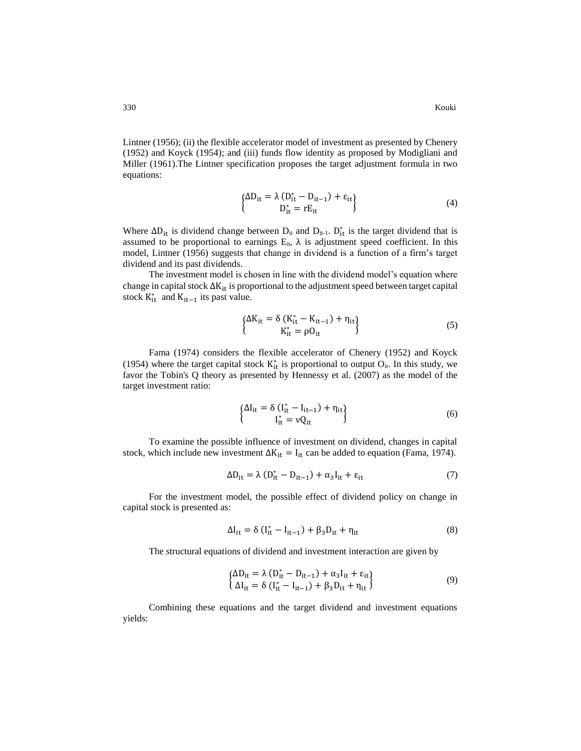Lintner (1956); (ii) the flexible accelerator model of investment as presented by Chenery (1952) and Koyck (1954); and (iii) funds flow identity as proposed by Modigliani and Miller (1961).The Lintner specification proposes the target adjustment formula in two equations:

$$
\begin{cases} \Delta D_{it} = \lambda (D_{it}^* - D_{it-1}) + \varepsilon_{it} \\ D_{it}^* = r E_{it} \end{cases}
$$
 (4)

Where  $\Delta D_{it}$  is dividend change between  $D_{it}$  and  $D_{it-1}$ .  $D_{it}^*$  is the target dividend that is assumed to be proportional to earnings  $E_{it}$ ,  $\lambda$  is adjustment speed coefficient. In this model, Lintner (1956) suggests that change in dividend is a function of a firm's target dividend and its past dividends.

The investment model is chosen in line with the dividend model's equation where change in capital stock ∆K<sub>it</sub> is proportional to the adjustment speed between target capital stock  $K_{it}^*$  and  $K_{it-1}$  its past value.

$$
\begin{cases} \Delta K_{it} = \delta \left( K_{it}^{*} - K_{it-1} \right) + \eta_{it} \\ K_{it}^{*} = \rho O_{it} \end{cases}
$$
 (5)

Fama (1974) considers the flexible accelerator of Chenery (1952) and Koyck (1954) where the target capital stock  $K_{it}^*$  is proportional to output  $O_{it}$ . In this study, we favor the Tobin's Q theory as presented by Hennessy et al. (2007) as the model of the target investment ratio:

$$
\begin{cases} \Delta I_{it} = \delta \left( I_{it}^{*} - I_{it-1} \right) + \eta_{it} \\ I_{it}^{*} = v Q_{it} \end{cases}
$$
 (6)

To examine the possible influence of investment on dividend, changes in capital stock, which include new investment  $\Delta K_{it} = I_{it}$  can be added to equation (Fama, 1974).

$$
\Delta D_{it} = \lambda (D_{it}^* - D_{it-1}) + \alpha_3 I_{it} + \varepsilon_{it}
$$
\n(7)

For the investment model, the possible effect of dividend policy on change in capital stock is presented as:

$$
\Delta I_{it} = \delta \left( I_{it}^* - I_{it-1} \right) + \beta_3 D_{it} + \eta_{it} \tag{8}
$$

The structural equations of dividend and investment interaction are given by

$$
\begin{cases} \Delta D_{it} = \lambda (D_{it}^* - D_{it-1}) + \alpha_3 I_{it} + \varepsilon_{it} \\ \Delta I_{it} = \delta (I_{it}^* - I_{it-1}) + \beta_3 D_{it} + \eta_{it} \end{cases}
$$
(9)

Combining these equations and the target dividend and investment equations yields: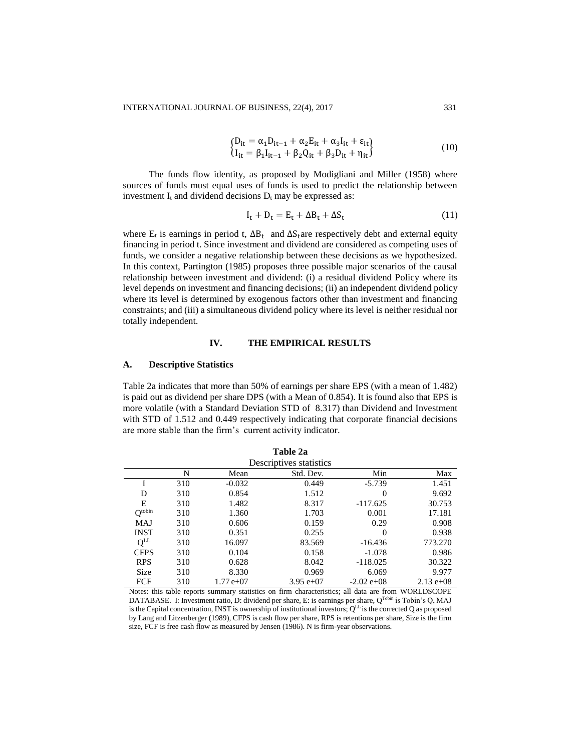$$
\begin{cases}\nD_{it} = \alpha_1 D_{it-1} + \alpha_2 E_{it} + \alpha_3 I_{it} + \varepsilon_{it} \\
I_{it} = \beta_1 I_{it-1} + \beta_2 Q_{it} + \beta_3 D_{it} + \eta_{it}\n\end{cases}
$$
\n(10)

The funds flow identity, as proposed by Modigliani and Miller (1958) where sources of funds must equal uses of funds is used to predict the relationship between investment  $I_t$  and dividend decisions  $D_t$  may be expressed as:

$$
I_t + D_t = E_t + \Delta B_t + \Delta S_t \tag{11}
$$

where  $E_t$  is earnings in period t,  $\Delta B_t$  and  $\Delta S_t$  are respectively debt and external equity financing in period t. Since investment and dividend are considered as competing uses of funds, we consider a negative relationship between these decisions as we hypothesized. In this context, Partington (1985) proposes three possible major scenarios of the causal relationship between investment and dividend: (i) a residual dividend Policy where its level depends on investment and financing decisions; (ii) an independent dividend policy where its level is determined by exogenous factors other than investment and financing constraints; and (iii) a simultaneous dividend policy where its level is neither residual nor totally independent.

# **IV. THE EMPIRICAL RESULTS**

#### **A. Descriptive Statistics**

Table 2a indicates that more than 50% of earnings per share EPS (with a mean of 1.482) is paid out as dividend per share DPS (with a Mean of 0.854). It is found also that EPS is more volatile (with a Standard Deviation STD of 8.317) than Dividend and Investment with STD of 1.512 and 0.449 respectively indicating that corporate financial decisions are more stable than the firm's current activity indicator.

| Table 2a                |     |            |             |               |               |  |  |
|-------------------------|-----|------------|-------------|---------------|---------------|--|--|
| Descriptives statistics |     |            |             |               |               |  |  |
|                         | N   | Mean       | Std. Dev.   | Min           | Max           |  |  |
|                         | 310 | $-0.032$   | 0.449       | $-5.739$      | 1.451         |  |  |
| D                       | 310 | 0.854      | 1.512       | 0             | 9.692         |  |  |
| E                       | 310 | 1.482      | 8.317       | $-117.625$    | 30.753        |  |  |
| $Q^{tobin}$             | 310 | 1.360      | 1.703       | 0.001         | 17.181        |  |  |
| <b>MAJ</b>              | 310 | 0.606      | 0.159       | 0.29          | 0.908         |  |  |
| <b>INST</b>             | 310 | 0.351      | 0.255       | 0             | 0.938         |  |  |
| O <sub>TT</sub>         | 310 | 16.097     | 83.569      | $-16.436$     | 773.270       |  |  |
| <b>CFPS</b>             | 310 | 0.104      | 0.158       | $-1.078$      | 0.986         |  |  |
| <b>RPS</b>              | 310 | 0.628      | 8.042       | $-118.025$    | 30.322        |  |  |
| Size                    | 310 | 8.330      | 0.969       | 6.069         | 9.977         |  |  |
| FCF                     | 310 | $1.77e+07$ | $3.95 e+07$ | $-2.02 e+0.8$ | $2.13 e + 08$ |  |  |

Notes: this table reports summary statistics on firm characteristics; all data are from WORLDSCOPE DATABASE. I: Investment ratio, D: dividend per share, E: is earnings per share, Q<sup>Tobin</sup> is Tobin's Q, MAJ is the Capital concentration, INST is ownership of institutional investors;  $Q^{LL}$  is the corrected Q as proposed by Lang and Litzenberger (1989), CFPS is cash flow per share, RPS is retentions per share, Size is the firm size, FCF is free cash flow as measured by Jensen (1986). N is firm-year observations.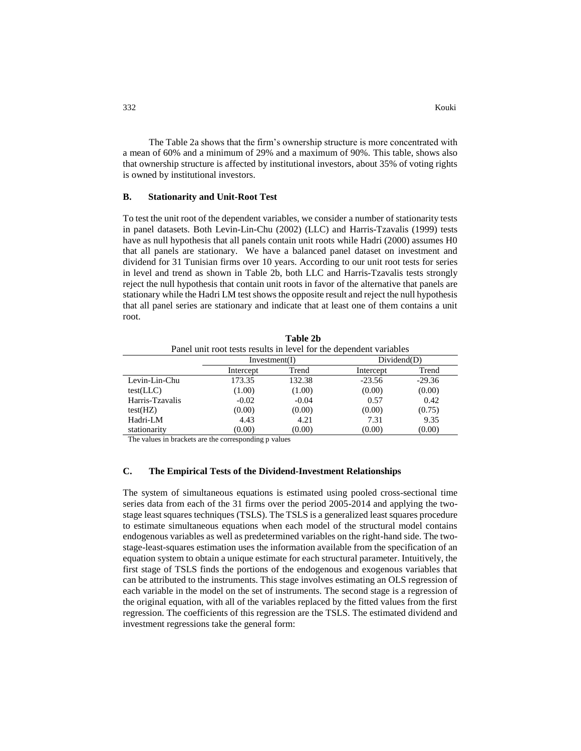The Table 2a shows that the firm's ownership structure is more concentrated with a mean of 60% and a minimum of 29% and a maximum of 90%. This table, shows also that ownership structure is affected by institutional investors, about 35% of voting rights is owned by institutional investors.

#### **B. Stationarity and Unit-Root Test**

To test the unit root of the dependent variables, we consider a number of stationarity tests in panel datasets. Both Levin-Lin-Chu (2002) (LLC) and Harris-Tzavalis (1999) tests have as null hypothesis that all panels contain unit roots while Hadri (2000) assumes H0 that all panels are stationary. We have a balanced panel dataset on investment and dividend for 31 Tunisian firms over 10 years. According to our unit root tests for series in level and trend as shown in Table 2b, both LLC and Harris-Tzavalis tests strongly reject the null hypothesis that contain unit roots in favor of the alternative that panels are stationary while the Hadri LM test shows the opposite result and reject the null hypothesis that all panel series are stationary and indicate that at least one of them contains a unit root.

|                                                                    |               | Table 2b |             |          |  |  |
|--------------------------------------------------------------------|---------------|----------|-------------|----------|--|--|
| Panel unit root tests results in level for the dependent variables |               |          |             |          |  |  |
|                                                                    | Investment(I) |          | Dividend(D) |          |  |  |
|                                                                    | Intercept     | Trend    | Intercept   | Trend    |  |  |
| Levin-Lin-Chu                                                      | 173.35        | 132.38   | $-23.56$    | $-29.36$ |  |  |
| $test(\text{LLC})$                                                 | (1.00)        | (1.00)   | (0.00)      | (0.00)   |  |  |
| Harris-Tzavalis                                                    | $-0.02$       | $-0.04$  | 0.57        | 0.42     |  |  |
| test(HZ)                                                           | (0.00)        | (0.00)   | (0.00)      | (0.75)   |  |  |
| Hadri-LM                                                           | 4.43          | 4.21     | 7.31        | 9.35     |  |  |
| stationarity                                                       | (0.00)        | (0.00)   | (0.00)      | (0.00)   |  |  |

The values in brackets are the corresponding p values

## **C. The Empirical Tests of the Dividend-Investment Relationships**

The system of simultaneous equations is estimated using pooled cross-sectional time series data from each of the 31 firms over the period 2005-2014 and applying the twostage least squares techniques (TSLS). The TSLS is a generalized least squares procedure to estimate simultaneous equations when each model of the structural model contains endogenous variables as well as predetermined variables on the right-hand side. The twostage-least-squares estimation uses the information available from the specification of an equation system to obtain a unique estimate for each structural parameter. Intuitively, the first stage of TSLS finds the portions of the endogenous and exogenous variables that can be attributed to the instruments. This stage involves estimating an OLS regression of each variable in the model on the set of instruments. The second stage is a regression of the original equation, with all of the variables replaced by the fitted values from the first regression. The coefficients of this regression are the TSLS. The estimated dividend and investment regressions take the general form: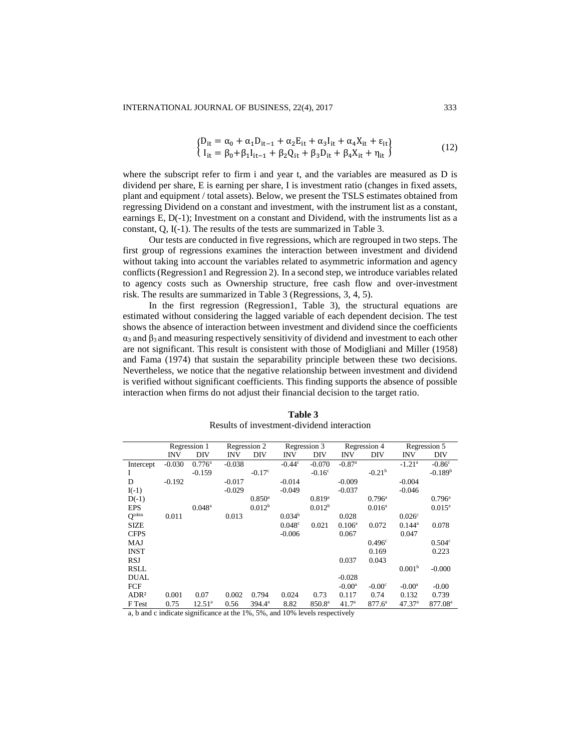$$
\begin{cases}\nD_{it} = \alpha_0 + \alpha_1 D_{it-1} + \alpha_2 E_{it} + \alpha_3 I_{it} + \alpha_4 X_{it} + \varepsilon_{it} \\
I_{it} = \beta_0 + \beta_1 I_{it-1} + \beta_2 Q_{it} + \beta_3 D_{it} + \beta_4 X_{it} + \eta_{it}\n\end{cases}
$$
\n(12)

where the subscript refer to firm i and year t, and the variables are measured as D is dividend per share, E is earning per share, I is investment ratio (changes in fixed assets, plant and equipment / total assets). Below, we present the TSLS estimates obtained from regressing Dividend on a constant and investment, with the instrument list as a constant, earnings E,  $D(-1)$ ; Investment on a constant and Dividend, with the instruments list as a constant, Q, I(-1). The results of the tests are summarized in Table 3.

Our tests are conducted in five regressions, which are regrouped in two steps. The first group of regressions examines the interaction between investment and dividend without taking into account the variables related to asymmetric information and agency conflicts(Regression1 and Regression 2). In a second step, we introduce variables related to agency costs such as Ownership structure, free cash flow and over-investment risk. The results are summarized in Table 3 (Regressions, 3, 4, 5).

In the first regression (Regression1, Table 3), the structural equations are estimated without considering the lagged variable of each dependent decision. The test shows the absence of interaction between investment and dividend since the coefficients  $\alpha_3$  and  $\beta_3$  and measuring respectively sensitivity of dividend and investment to each other are not significant. This result is consistent with those of Modigliani and Miller (1958) and Fama (1974) that sustain the separability principle between these two decisions. Nevertheless, we notice that the negative relationship between investment and dividend is verified without significant coefficients. This finding supports the absence of possible interaction when firms do not adjust their financial decision to the target ratio.

|                    |            | Regression 1         |            | Regression 2       |                    | Regression 3       |                      | Regression 4       |                    | Regression 5        |
|--------------------|------------|----------------------|------------|--------------------|--------------------|--------------------|----------------------|--------------------|--------------------|---------------------|
|                    | <b>INV</b> | DIV                  | <b>INV</b> | DIV                | <b>INV</b>         | DIV                | <b>INV</b>           | DIV                | <b>INV</b>         | DIV                 |
| Intercept          | $-0.030$   | $0.776^{\rm a}$      | $-0.038$   |                    | $-0.44^{\circ}$    | $-0.070$           | $-0.87$ <sup>a</sup> |                    | $-1.21^a$          | $-0.86c$            |
| Ι                  |            | $-0.159$             |            | $-0.17^{\circ}$    |                    | $-0.16^{\circ}$    |                      | $-0.21b$           |                    | $-0.189b$           |
| D                  | $-0.192$   |                      | $-0.017$   |                    | $-0.014$           |                    | $-0.009$             |                    | $-0.004$           |                     |
| $I(-1)$            |            |                      | $-0.029$   |                    | $-0.049$           |                    | $-0.037$             |                    | $-0.046$           |                     |
| $D(-1)$            |            |                      |            | $0.850^{\rm a}$    |                    | $0.819^{\rm a}$    |                      | $0.796^{\rm a}$    |                    | $0.796^{\rm a}$     |
| <b>EPS</b>         |            | $0.048$ <sup>a</sup> |            | 0.012 <sup>b</sup> |                    | 0.012 <sup>b</sup> |                      | $0.016^{\rm a}$    |                    | $0.015^{\rm a}$     |
| $Q^{\text{tobin}}$ | 0.011      |                      | 0.013      |                    | 0.034 <sup>b</sup> |                    | 0.028                |                    | 0.026 <sup>c</sup> |                     |
| <b>SIZE</b>        |            |                      |            |                    | $0.048^{\circ}$    | 0.021              | $0.106^{\rm a}$      | 0.072              | $0.144^a$          | 0.078               |
| <b>CFPS</b>        |            |                      |            |                    | $-0.006$           |                    | 0.067                |                    | 0.047              |                     |
| MAJ                |            |                      |            |                    |                    |                    |                      | 0.496 <sup>c</sup> |                    | 0.504c              |
| <b>INST</b>        |            |                      |            |                    |                    |                    |                      | 0.169              |                    | 0.223               |
| <b>RSJ</b>         |            |                      |            |                    |                    |                    | 0.037                | 0.043              |                    |                     |
| RSLL               |            |                      |            |                    |                    |                    |                      |                    | 0.001 <sup>b</sup> | $-0.000$            |
| <b>DUAL</b>        |            |                      |            |                    |                    |                    | $-0.028$             |                    |                    |                     |
| FCF                |            |                      |            |                    |                    |                    | $-0.00^{\rm a}$      | $-0.00c$           | $-0.00^a$          | $-0.00$             |
| ADR <sup>2</sup>   | 0.001      | 0.07                 | 0.002      | 0.794              | 0.024              | 0.73               | 0.117                | 0.74               | 0.132              | 0.739               |
| F Test             | 0.75       | $12.51^a$            | 0.56       | $394.4^a$          | 8.82               | 850.8 <sup>a</sup> | 41.7 <sup>a</sup>    | 877.6 <sup>a</sup> | 47.37 <sup>a</sup> | 877.08 <sup>a</sup> |

**Table 3** Results of investment-dividend interaction

a, b and c indicate significance at the 1%, 5%, and 10% levels respectively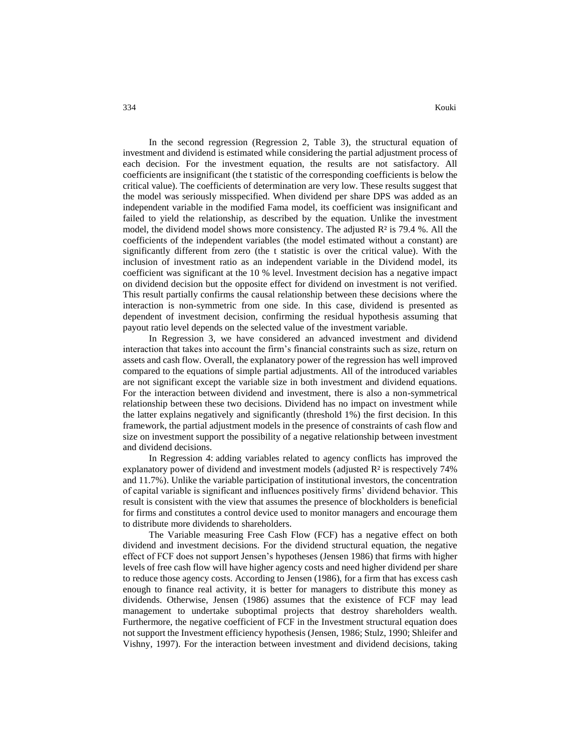In the second regression (Regression 2, Table 3), the structural equation of investment and dividend is estimated while considering the partial adjustment process of each decision. For the investment equation, the results are not satisfactory. All coefficients are insignificant (the t statistic of the corresponding coefficients is below the critical value). The coefficients of determination are very low. These results suggest that the model was seriously misspecified. When dividend per share DPS was added as an independent variable in the modified Fama model, its coefficient was insignificant and failed to yield the relationship, as described by the equation. Unlike the investment model, the dividend model shows more consistency. The adjusted  $\mathbb{R}^2$  is 79.4 %. All the coefficients of the independent variables (the model estimated without a constant) are significantly different from zero (the t statistic is over the critical value). With the inclusion of investment ratio as an independent variable in the Dividend model, its coefficient was significant at the 10 % level. Investment decision has a negative impact on dividend decision but the opposite effect for dividend on investment is not verified. This result partially confirms the causal relationship between these decisions where the interaction is non-symmetric from one side. In this case, dividend is presented as dependent of investment decision, confirming the residual hypothesis assuming that payout ratio level depends on the selected value of the investment variable.

In Regression 3, we have considered an advanced investment and dividend interaction that takes into account the firm's financial constraints such as size, return on assets and cash flow. Overall, the explanatory power of the regression has well improved compared to the equations of simple partial adjustments. All of the introduced variables are not significant except the variable size in both investment and dividend equations. For the interaction between dividend and investment, there is also a non-symmetrical relationship between these two decisions. Dividend has no impact on investment while the latter explains negatively and significantly (threshold 1%) the first decision. In this framework, the partial adjustment models in the presence of constraints of cash flow and size on investment support the possibility of a negative relationship between investment and dividend decisions.

In Regression 4: adding variables related to agency conflicts has improved the explanatory power of dividend and investment models (adjusted R² is respectively 74% and 11.7%). Unlike the variable participation of institutional investors, the concentration of capital variable is significant and influences positively firms' dividend behavior. This result is consistent with the view that assumes the presence of blockholders is beneficial for firms and constitutes a control device used to monitor managers and encourage them to distribute more dividends to shareholders.

The Variable measuring Free Cash Flow (FCF) has a negative effect on both dividend and investment decisions. For the dividend structural equation, the negative effect of FCF does not support Jensen's hypotheses (Jensen 1986) that firms with higher levels of free cash flow will have higher agency costs and need higher dividend per share to reduce those agency costs. According to Jensen (1986), for a firm that has excess cash enough to finance real activity, it is better for managers to distribute this money as dividends. Otherwise, Jensen (1986) assumes that the existence of FCF may lead management to undertake suboptimal projects that destroy shareholders wealth. Furthermore, the negative coefficient of FCF in the Investment structural equation does not support the Investment efficiency hypothesis (Jensen, 1986; Stulz, 1990; Shleifer and Vishny, 1997). For the interaction between investment and dividend decisions, taking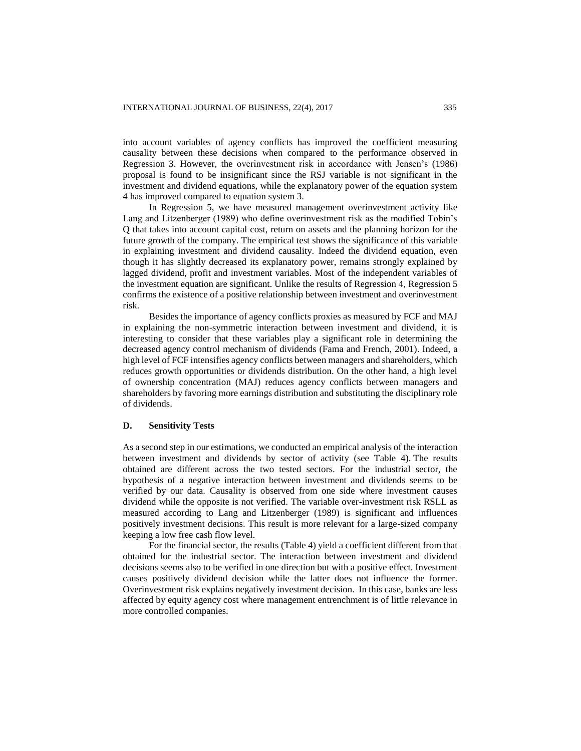into account variables of agency conflicts has improved the coefficient measuring causality between these decisions when compared to the performance observed in Regression 3. However, the overinvestment risk in accordance with Jensen's (1986) proposal is found to be insignificant since the RSJ variable is not significant in the investment and dividend equations, while the explanatory power of the equation system 4 has improved compared to equation system 3.

In Regression 5, we have measured management overinvestment activity like Lang and Litzenberger (1989) who define overinvestment risk as the modified Tobin's Q that takes into account capital cost, return on assets and the planning horizon for the future growth of the company. The empirical test shows the significance of this variable in explaining investment and dividend causality. Indeed the dividend equation, even though it has slightly decreased its explanatory power, remains strongly explained by lagged dividend, profit and investment variables. Most of the independent variables of the investment equation are significant. Unlike the results of Regression 4, Regression 5 confirms the existence of a positive relationship between investment and overinvestment risk.

Besides the importance of agency conflicts proxies as measured by FCF and MAJ in explaining the non-symmetric interaction between investment and dividend, it is interesting to consider that these variables play a significant role in determining the decreased agency control mechanism of dividends (Fama and French, 2001). Indeed, a high level of FCF intensifies agency conflicts between managers and shareholders, which reduces growth opportunities or dividends distribution. On the other hand, a high level of ownership concentration (MAJ) reduces agency conflicts between managers and shareholders by favoring more earnings distribution and substituting the disciplinary role of dividends.

#### **D. Sensitivity Tests**

As a second step in our estimations, we conducted an empirical analysis of the interaction between investment and dividends by sector of activity (see Table 4). The results obtained are different across the two tested sectors. For the industrial sector, the hypothesis of a negative interaction between investment and dividends seems to be verified by our data. Causality is observed from one side where investment causes dividend while the opposite is not verified. The variable over-investment risk RSLL as measured according to Lang and Litzenberger (1989) is significant and influences positively investment decisions. This result is more relevant for a large-sized company keeping a low free cash flow level.

For the financial sector, the results (Table 4) yield a coefficient different from that obtained for the industrial sector. The interaction between investment and dividend decisions seems also to be verified in one direction but with a positive effect. Investment causes positively dividend decision while the latter does not influence the former. Overinvestment risk explains negatively investment decision. In this case, banks are less affected by equity agency cost where management entrenchment is of little relevance in more controlled companies.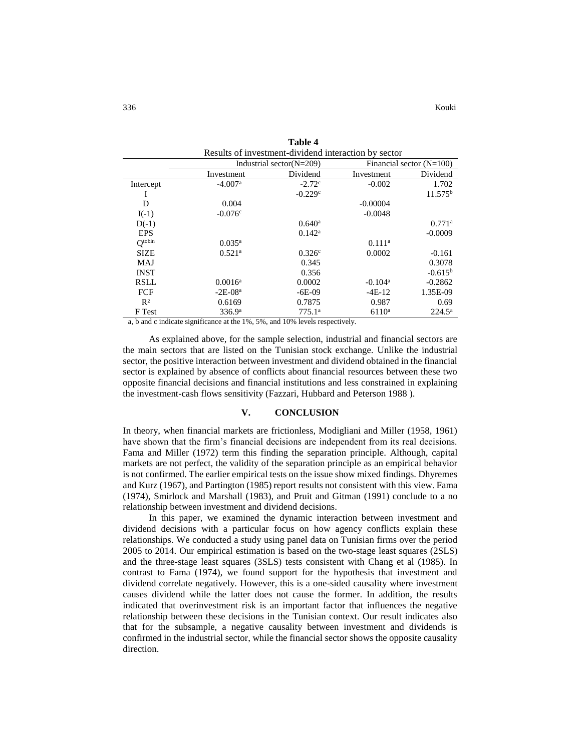|             | Results of investment-dividend interaction by sector |                             |                            |                      |  |  |
|-------------|------------------------------------------------------|-----------------------------|----------------------------|----------------------|--|--|
|             |                                                      |                             |                            |                      |  |  |
|             |                                                      | Industrial sector $(N=209)$ | Financial sector $(N=100)$ |                      |  |  |
|             | Investment                                           | Dividend                    | Investment                 | Dividend             |  |  |
| Intercept   | $-4.007a$                                            | $-2.72^{\circ}$             | $-0.002$                   | 1.702                |  |  |
| Ι           |                                                      | $-0.229c$                   |                            | $11.575^{\rm b}$     |  |  |
| D           | 0.004                                                |                             | $-0.00004$                 |                      |  |  |
| $I(-1)$     | $-0.076c$                                            |                             | $-0.0048$                  |                      |  |  |
| $D(-1)$     |                                                      | $0.640$ <sup>a</sup>        |                            | $0.771$ <sup>a</sup> |  |  |
| <b>EPS</b>  |                                                      | $0.142^a$                   |                            | $-0.0009$            |  |  |
| $O^{tobin}$ | $0.035^{\rm a}$                                      |                             | $0.111^{a}$                |                      |  |  |
| <b>SIZE</b> | 0.521 <sup>a</sup>                                   | 0.326c                      | 0.0002                     | $-0.161$             |  |  |
| MAJ         |                                                      | 0.345                       |                            | 0.3078               |  |  |
| <b>INST</b> |                                                      | 0.356                       |                            | $-0.615^{\rm b}$     |  |  |
| RSLL        | $0.0016^a$                                           | 0.0002                      | $-0.104$ <sup>a</sup>      | $-0.2862$            |  |  |
| FCF         | $-2E-08a$                                            | $-6E-09$                    | $-4E-12$                   | 1.35E-09             |  |  |
| $R^2$       | 0.6169                                               | 0.7875                      | 0.987                      | 0.69                 |  |  |
| F Test      | 336.9 <sup>a</sup>                                   | 775.1 <sup>a</sup>          | $6110^a$                   | $224.5^{\rm a}$      |  |  |

**Table 4**

a, b and c indicate significance at the 1%, 5%, and 10% levels respectively.

As explained above, for the sample selection, industrial and financial sectors are the main sectors that are listed on the Tunisian stock exchange. Unlike the industrial sector, the positive interaction between investment and dividend obtained in the financial sector is explained by absence of conflicts about financial resources between these two opposite financial decisions and financial institutions and less constrained in explaining the investment-cash flows sensitivity (Fazzari, Hubbard and Peterson 1988 ).

#### **V. CONCLUSION**

In theory, when financial markets are frictionless, Modigliani and Miller (1958, 1961) have shown that the firm's financial decisions are independent from its real decisions. Fama and Miller (1972) term this finding the separation principle. Although, capital markets are not perfect, the validity of the separation principle as an empirical behavior is not confirmed. The earlier empirical tests on the issue show mixed findings. Dhyremes and Kurz (1967), and Partington (1985) report results not consistent with this view. Fama (1974), Smirlock and Marshall (1983), and Pruit and Gitman (1991) conclude to a no relationship between investment and dividend decisions.

In this paper, we examined the dynamic interaction between investment and dividend decisions with a particular focus on how agency conflicts explain these relationships. We conducted a study using panel data on Tunisian firms over the period 2005 to 2014. Our empirical estimation is based on the two-stage least squares (2SLS) and the three-stage least squares (3SLS) tests consistent with Chang et al (1985). In contrast to Fama (1974), we found support for the hypothesis that investment and dividend correlate negatively. However, this is a one-sided causality where investment causes dividend while the latter does not cause the former. In addition, the results indicated that overinvestment risk is an important factor that influences the negative relationship between these decisions in the Tunisian context. Our result indicates also that for the subsample, a negative causality between investment and dividends is confirmed in the industrial sector, while the financial sector shows the opposite causality direction.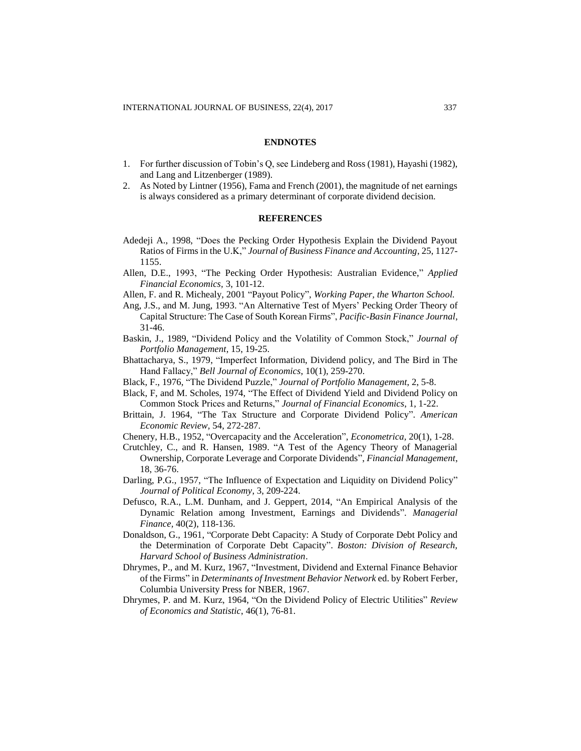#### **ENDNOTES**

- 1. For further discussion of Tobin's Q, see Lindeberg and Ross (1981), Hayashi (1982), and Lang and Litzenberger (1989).
- 2. As Noted by Lintner (1956), Fama and French (2001), the magnitude of net earnings is always considered as a primary determinant of corporate dividend decision.

# **REFERENCES**

- Adedeji A., 1998, "Does the Pecking Order Hypothesis Explain the Dividend Payout Ratios of Firms in the U.K," *Journal of Business Finance and Accounting*, 25, 1127- 1155.
- Allen, D.E., 1993, "The Pecking Order Hypothesis: Australian Evidence," *Applied Financial Economics,* 3, 101-12.
- Allen, F. and R. Michealy, 2001 "Payout Policy", *Working Paper, the Wharton School.*
- Ang, J.S., and M. Jung, 1993. "An Alternative Test of Myers' Pecking Order Theory of Capital Structure: The Case of South Korean Firms", *Pacific-Basin Finance Journal*, 31-46.
- Baskin, J., 1989, "Dividend Policy and the Volatility of Common Stock," *Journal of Portfolio Management*, 15, 19-25.
- Bhattacharya, S., 1979, "Imperfect Information, Dividend policy, and The Bird in The Hand Fallacy," *Bell Journal of Economics*, 10(1), 259-270.
- Black, F., 1976, "The Dividend Puzzle," *Journal of Portfolio Management*, 2, 5-8.
- Black, F, and M. Scholes, 1974, "The Effect of Dividend Yield and Dividend Policy on Common Stock Prices and Returns," *Journal of Financial Economics*, 1, 1-22.
- Brittain, J. 1964, "The Tax Structure and Corporate Dividend Policy". *American Economic Review,* 54, 272-287.
- Chenery, H.B., 1952, "Overcapacity and the Acceleration", *Econometrica,* 20(1), 1-28.
- Crutchley, C., and R. Hansen, 1989. "A Test of the Agency Theory of Managerial Ownership, Corporate Leverage and Corporate Dividends", *Financial Management*, 18, 36-76.
- Darling, P.G., 1957, "The Influence of Expectation and Liquidity on Dividend Policy" *Journal of Political Economy*, 3, 209-224.
- Defusco, R.A., L.M. Dunham, and J. Geppert, 2014, "An Empirical Analysis of the Dynamic Relation among Investment, Earnings and Dividends". *Managerial Finance,* 40(2), 118-136.
- Donaldson, G., 1961, "Corporate Debt Capacity: A Study of Corporate Debt Policy and the Determination of Corporate Debt Capacity". *Boston: Division of Research, Harvard School of Business Administration*.
- Dhrymes, P., and M. Kurz, 1967, "Investment, Dividend and External Finance Behavior of the Firms" in *Determinants of Investment Behavior Network* ed. by Robert Ferber*,*  Columbia University Press for NBER*,* 1967.
- Dhrymes, P. and M. Kurz, 1964, "On the Dividend Policy of Electric Utilities" *Review of Economics and Statistic*, 46(1), 76-81.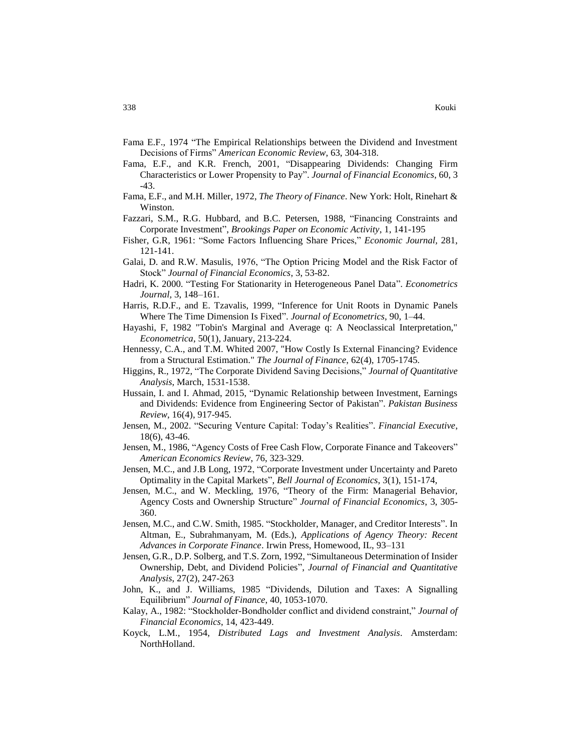- Fama E.F., 1974 "The Empirical Relationships between the Dividend and Investment Decisions of Firms" *American Economic Review*, 63, 304-318.
- Fama, E.F., and K.R. French, 2001, "Disappearing Dividends: Changing Firm Characteristics or Lower Propensity to Pay". *Journal of Financial Economics*, 60, 3 -43.
- Fama, E.F., and M.H. Miller, 1972, *The Theory of Finance*. New York: Holt, Rinehart & Winston.
- Fazzari, S.M., R.G. Hubbard, and B.C. Petersen, 1988, "Financing Constraints and Corporate Investment", *Brookings Paper on Economic Activity*, 1, 141-195
- Fisher, G.R, 1961: "Some Factors Influencing Share Prices," *Economic Journal,* 281, 121-141.
- Galai, D. and R.W. Masulis, 1976, "The Option Pricing Model and the Risk Factor of Stock" *Journal of Financial Economics*, 3, 53-82.
- Hadri, K. 2000. "Testing For Stationarity in Heterogeneous Panel Data". *Econometrics Journal,* 3, 148–161.
- Harris, R.D.F., and E. Tzavalis, 1999, "Inference for Unit Roots in Dynamic Panels Where The Time Dimension Is Fixed". *Journal of Econometrics*, 90, 1–44.
- Hayashi, F, 1982 "Tobin's Marginal and Average q: A Neoclassical Interpretation," *Econometrica*, 50(1), January, 213-224.
- Hennessy, C.A., and T.M. Whited 2007, "How Costly Is External Financing? Evidence from a Structural Estimation." *The Journal of Finance*, 62(4), 1705-1745.
- Higgins, R., 1972, "The Corporate Dividend Saving Decisions," *Journal of Quantitative Analysis*, March, 1531-1538.
- Hussain, I. and I. Ahmad, 2015, "Dynamic Relationship between Investment, Earnings and Dividends: Evidence from Engineering Sector of Pakistan". *Pakistan Business Review*, 16(4), 917-945.
- Jensen, M., 2002. "Securing Venture Capital: Today's Realities". *Financial Executive*, 18(6), 43-46.
- Jensen, M., 1986, "Agency Costs of Free Cash Flow, Corporate Finance and Takeovers" *American Economics Review*, 76, 323-329.
- Jensen, M.C., and J.B Long, 1972, "Corporate Investment under Uncertainty and Pareto Optimality in the Capital Markets", *Bell Journal of Economics*, 3(1), 151-174,
- Jensen, M.C., and W. Meckling, 1976, "Theory of the Firm: Managerial Behavior, Agency Costs and Ownership Structure" *Journal of Financial Economics*, 3, 305- 360.
- Jensen, M.C., and C.W. Smith, 1985. "Stockholder, Manager, and Creditor Interests". In Altman, E., Subrahmanyam, M. (Eds.), *Applications of Agency Theory: Recent Advances in Corporate Finance*. Irwin Press, Homewood, IL, 93–131
- Jensen, G.R., D.P. Solberg, and T.S. Zorn, 1992, "Simultaneous Determination of Insider Ownership, Debt, and Dividend Policies", *Journal of Financial and Quantitative Analysis*, 27(2), 247-263
- John, K., and J. Williams, 1985 "Dividends, Dilution and Taxes: A Signalling Equilibrium" *Journal of Finance*, 40, 1053-1070.
- Kalay, A., 1982: "Stockholder-Bondholder conflict and dividend constraint," *Journal of Financial Economics*, 14, 423-449.
- Koyck, L.M., 1954, *Distributed Lags and Investment Analysis*. Amsterdam: NorthHolland.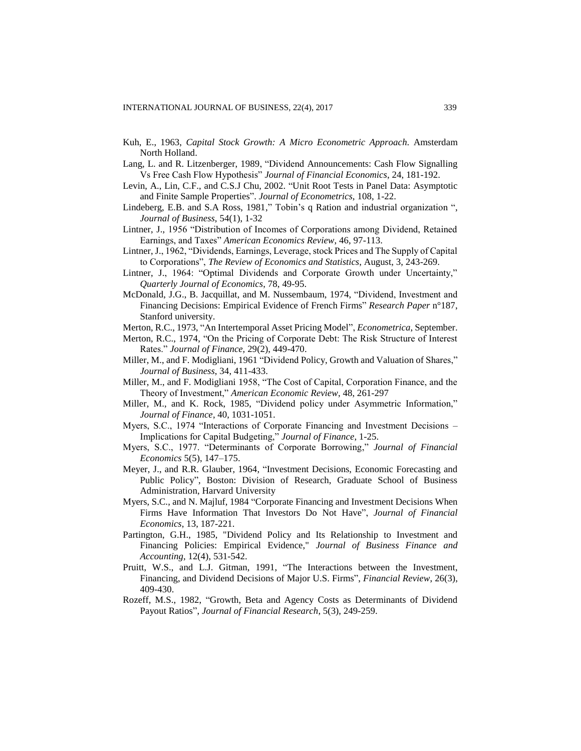- Kuh, E., 1963, *Capital Stock Growth: A Micro Econometric Approach*. Amsterdam North Holland.
- Lang, L. and R. Litzenberger, 1989, "Dividend Announcements: Cash Flow Signalling Vs Free Cash Flow Hypothesis" *Journal of Financial Economics*, 24, 181-192.
- Levin, A., Lin, C.F., and C.S.J Chu, 2002. "Unit Root Tests in Panel Data: Asymptotic and Finite Sample Properties". *Journal of Econometrics*, 108, 1-22.
- Lindeberg, E.B. and S.A Ross, 1981," Tobin's q Ration and industrial organization ", *Journal of Business*, 54(1), 1-32
- Lintner, J., 1956 "Distribution of Incomes of Corporations among Dividend, Retained Earnings, and Taxes" *American Economics Review*, 46, 97-113.
- Lintner, J., 1962, "Dividends, Earnings, Leverage, stock Prices and The Supply of Capital to Corporations", *The Review of Economics and Statistics*, August, 3, 243-269.
- Lintner, J., 1964: "Optimal Dividends and Corporate Growth under Uncertainty," *Quarterly Journal of Economics*, 78, 49-95.
- McDonald, J.G., B. Jacquillat, and M. Nussembaum, 1974, "Dividend, Investment and Financing Decisions: Empirical Evidence of French Firms" *Research Paper* n°187, Stanford university.
- Merton, R.C., 1973, "An Intertemporal Asset Pricing Model", *Econometrica*, September.

Merton, R.C., 1974, "On the Pricing of Corporate Debt: The Risk Structure of Interest Rates." *Journal of Finance,* 29(2), 449-470.

- Miller, M., and F. Modigliani, 1961 "Dividend Policy, Growth and Valuation of Shares," *Journal of Business*, 34, 411-433.
- Miller, M., and F. Modigliani 1958, "The Cost of Capital, Corporation Finance, and the Theory of Investment," *American Economic Review*, 48, 261-297
- Miller, M., and K. Rock, 1985, "Dividend policy under Asymmetric Information," *Journal of Finance*, 40, 1031-1051.
- Myers, S.C., 1974 "Interactions of Corporate Financing and Investment Decisions Implications for Capital Budgeting," *Journal of Finance*, 1-25.
- Myers, S.C., 1977. "Determinants of Corporate Borrowing," *Journal of Financial Economics* 5(5), 147–175.
- Meyer, J., and R.R. Glauber, 1964, "Investment Decisions, Economic Forecasting and Public Policy", Boston: Division of Research, Graduate School of Business Administration, Harvard University
- Myers, S.C., and N. Majluf, 1984 "Corporate Financing and Investment Decisions When Firms Have Information That Investors Do Not Have", *Journal of Financial Economics*, 13, 187-221.
- Partington, G.H., 1985, "Dividend Policy and Its Relationship to Investment and Financing Policies: Empirical Evidence," *Journal of Business Finance and Accounting*, 12(4), 531-542.
- Pruitt, W.S., and L.J. Gitman, 1991, "The Interactions between the Investment, Financing, and Dividend Decisions of Major U.S. Firms", *Financial Review*, 26(3), 409-430.
- Rozeff, M.S., 1982, "Growth, Beta and Agency Costs as Determinants of Dividend Payout Ratios", *Journal of Financial Research*, 5(3), 249-259.